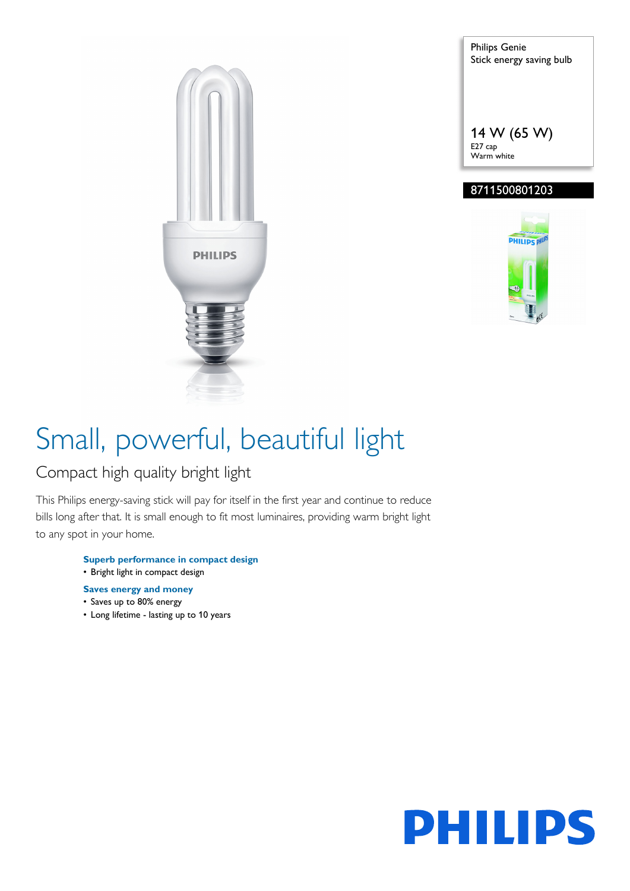

Philips Genie Stick energy saving bulb 14 W (65 W) E27 cap Warm white

### 8711500801203



# Small, powerful, beautiful light

### Compact high quality bright light

This Philips energy-saving stick will pay for itself in the first year and continue to reduce bills long after that. It is small enough to fit most luminaires, providing warm bright light to any spot in your home.

- **Superb performance in compact design** • Bright light in compact design
- 
- **Saves energy and money**
- Saves up to 80% energy
- Long lifetime lasting up to 10 years